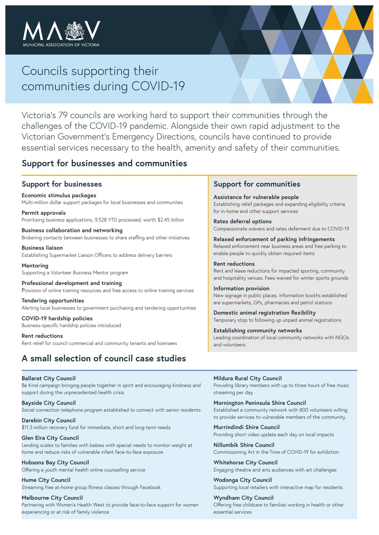

# Councils supporting their communities during COVID-19

Victoria's 79 councils are working hard to support their communities through the challenges of the COVID-19 pandemic. Alongside their own rapid adjustment to the Victorian Government's Emergency Directions, councils have continued to provide essential services necessary to the health, amenity and safety of their communities.

## **Support for businesses and communities**

### **Support for businesses**

**Economic stimulus packages** Multi-million dollar support packages for local businesses and communites

**Permit approvals** Prioritising business applications, 9,528 YTD processed, worth \$2.45 billion

**Business collaboration and networking** Brokering contacts between businesses to share staffing and other initiatives

**Business liaison** Establishing Supermarket Liaison Officers to address delivery barriers

**Mentoring** Supporting a Volunteer Business Mentor program

**Professional development and training** Provision of online training resources and free access to online training services

**Tendering opportunities** Alerting local businesses to government purchasing and tendering opportunities

**COVID-19 hardship policies** Business-specific hardship policies introduced

**Rent reductions** Rent relief for council commercial and community tenants and licensees

## **A small selection of council case studies**

### **Support for communities**

**Assistance for vulnerable people** Establishing relief packages and expanding eligibility criteria for in-home and other support services

**Rates deferral options** Compassionate waivers and rates deferment due to COVID-19

**Relaxed enforcement of parking infringements** Relaxed enforcement near business areas and free parking to enable people to quickly obtain required items

**Rent reductions** Rent and lease reductions for impacted sporting, community and hospitality venues. Fees waived for winter sports grounds

**Information provision** New signage in public places. Information booths established are supermarkets, GPs, pharmacies and petrol stations

**Domestic animal registration flexibility** Temporary stop to following up unpaid animal registrations

**Establishing community networks** Leading coordination of local community networks with NGOs and volunteers

#### **Ballarat City Council**

Be Kind campaign bringing people together in spirit and encouraging kindness and support during the unprecedented health crisis

**Bayside City Council** Social connection telephone program established to connect with senior residents

**Darebin City Council** \$11.3 million recovery fund for immediate, short and long-term needs

**Glen Eira City Council** Lending scales to families with babies with special needs to monitor weight at home and reduce risks of vulnerable infant face-to-face exposure

**Hobsons Bay City Council** Offering a youth mental health online counselling service

**Hume City Council** Streaming free at-home group fitness classes through Facebook

#### **Melbourne City Council**

Partnering with Women's Health West to provide face-to-face support for women experiencing or at risk of family violence

**Mildura Rural City Council** Providing library members with up to three hours of free music streaming per day

**Mornington Peninsula Shire Council** Established a community network with 800 volunteers willing to provide services to vulnerable members of the community

**Murrindindi Shire Council** Providing short video update each day on local impacts

**Nillumbik Shire Council** Commissioning Art in the Time of COVID-19 for exhibition

**Whitehorse City Council** Engaging theatre and arts audiences with art challenges

**Wodonga City Council** Supporting local retailers with interactive map for residents

**Wyndham City Council** Offering free childcare to families working in health or other essential services